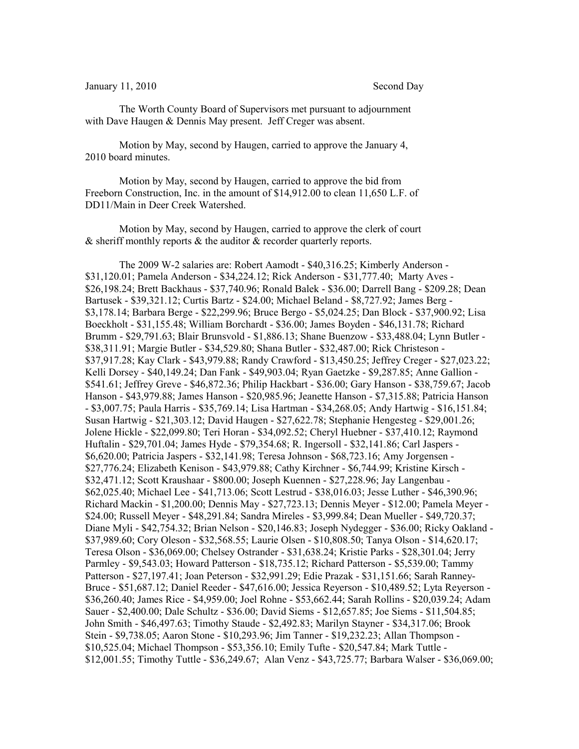## January 11, 2010 Second Day

The Worth County Board of Supervisors met pursuant to adjournment with Dave Haugen & Dennis May present. Jeff Creger was absent.

Motion by May, second by Haugen, carried to approve the January 4, 2010 board minutes.

Motion by May, second by Haugen, carried to approve the bid from Freeborn Construction, Inc. in the amount of \$14,912.00 to clean 11,650 L.F. of DD11/Main in Deer Creek Watershed.

Motion by May, second by Haugen, carried to approve the clerk of court  $\&$  sheriff monthly reports  $\&$  the auditor  $\&$  recorder quarterly reports.

The 2009 W-2 salaries are: Robert Aamodt - \$40,316.25; Kimberly Anderson - \$31,120.01; Pamela Anderson - \$34,224.12; Rick Anderson - \$31,777.40; Marty Aves - \$26,198.24; Brett Backhaus - \$37,740.96; Ronald Balek - \$36.00; Darrell Bang - \$209.28; Dean Bartusek - \$39,321.12; Curtis Bartz - \$24.00; Michael Beland - \$8,727.92; James Berg - \$3,178.14; Barbara Berge - \$22,299.96; Bruce Bergo - \$5,024.25; Dan Block - \$37,900.92; Lisa Boeckholt - \$31,155.48; William Borchardt - \$36.00; James Boyden - \$46,131.78; Richard Brumm - \$29,791.63; Blair Brunsvold - \$1,886.13; Shane Buenzow - \$33,488.04; Lynn Butler - \$38,311.91; Margie Butler - \$34,529.80; Shana Butler - \$32,487.00; Rick Christeson - \$37,917.28; Kay Clark - \$43,979.88; Randy Crawford - \$13,450.25; Jeffrey Creger - \$27,023.22; Kelli Dorsey - \$40,149.24; Dan Fank - \$49,903.04; Ryan Gaetzke - \$9,287.85; Anne Gallion - \$541.61; Jeffrey Greve - \$46,872.36; Philip Hackbart - \$36.00; Gary Hanson - \$38,759.67; Jacob Hanson - \$43,979.88; James Hanson - \$20,985.96; Jeanette Hanson - \$7,315.88; Patricia Hanson - \$3,007.75; Paula Harris - \$35,769.14; Lisa Hartman - \$34,268.05; Andy Hartwig - \$16,151.84; Susan Hartwig - \$21,303.12; David Haugen - \$27,622.78; Stephanie Hengesteg - \$29,001.26; Jolene Hickle - \$22,099.80; Teri Horan - \$34,092.52; Cheryl Huebner - \$37,410.12; Raymond Huftalin - \$29,701.04; James Hyde - \$79,354.68; R. Ingersoll - \$32,141.86; Carl Jaspers - \$6,620.00; Patricia Jaspers - \$32,141.98; Teresa Johnson - \$68,723.16; Amy Jorgensen - \$27,776.24; Elizabeth Kenison - \$43,979.88; Cathy Kirchner - \$6,744.99; Kristine Kirsch - \$32,471.12; Scott Kraushaar - \$800.00; Joseph Kuennen - \$27,228.96; Jay Langenbau - \$62,025.40; Michael Lee - \$41,713.06; Scott Lestrud - \$38,016.03; Jesse Luther - \$46,390.96; Richard Mackin - \$1,200.00; Dennis May - \$27,723.13; Dennis Meyer - \$12.00; Pamela Meyer - \$24.00; Russell Meyer - \$48,291.84; Sandra Mireles - \$3,999.84; Dean Mueller - \$49,720.37; Diane Myli - \$42,754.32; Brian Nelson - \$20,146.83; Joseph Nydegger - \$36.00; Ricky Oakland - \$37,989.60; Cory Oleson - \$32,568.55; Laurie Olsen - \$10,808.50; Tanya Olson - \$14,620.17; Teresa Olson - \$36,069.00; Chelsey Ostrander - \$31,638.24; Kristie Parks - \$28,301.04; Jerry Parmley - \$9,543.03; Howard Patterson - \$18,735.12; Richard Patterson - \$5,539.00; Tammy Patterson - \$27,197.41; Joan Peterson - \$32,991.29; Edie Prazak - \$31,151.66; Sarah Ranney-Bruce - \$51,687.12; Daniel Reeder - \$47,616.00; Jessica Reyerson - \$10,489.52; Lyta Reyerson - \$36,260.40; James Rice - \$4,959.00; Joel Rohne - \$53,662.44; Sarah Rollins - \$20,039.24; Adam Sauer - \$2,400.00; Dale Schultz - \$36.00; David Siems - \$12,657.85; Joe Siems - \$11,504.85; John Smith - \$46,497.63; Timothy Staude - \$2,492.83; Marilyn Stayner - \$34,317.06; Brook Stein - \$9,738.05; Aaron Stone - \$10,293.96; Jim Tanner - \$19,232.23; Allan Thompson - \$10,525.04; Michael Thompson - \$53,356.10; Emily Tufte - \$20,547.84; Mark Tuttle - \$12,001.55; Timothy Tuttle - \$36,249.67; Alan Venz - \$43,725.77; Barbara Walser - \$36,069.00;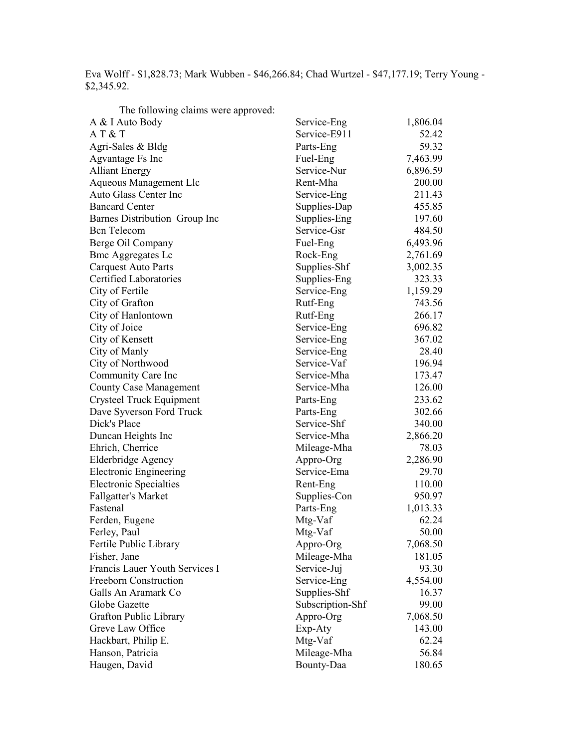Eva Wolff - \$1,828.73; Mark Wubben - \$46,266.84; Chad Wurtzel - \$47,177.19; Terry Young - \$2,345.92.

| Service-Eng<br>1,806.04<br>A & I Auto Body<br>AT & T<br>Service-E911<br>52.42<br>59.32<br>Agri-Sales & Bldg<br>Parts-Eng<br>7,463.99<br>Agvantage Fs Inc<br>Fuel-Eng<br>Service-Nur<br>6,896.59<br><b>Alliant Energy</b><br>Rent-Mha<br>200.00<br>Aqueous Management Llc<br>Auto Glass Center Inc<br>211.43<br>Service-Eng<br><b>Bancard Center</b><br>Supplies-Dap<br>455.85<br>Supplies-Eng<br>197.60<br>Barnes Distribution Group Inc<br>Service-Gsr<br>484.50<br><b>Bcn</b> Telecom<br>Berge Oil Company<br>Fuel-Eng<br>6,493.96<br><b>Bmc Aggregates Lc</b><br>Rock-Eng<br>2,761.69<br>Supplies-Shf<br>3,002.35<br><b>Carquest Auto Parts</b><br>Certified Laboratories<br>323.33<br>Supplies-Eng<br>City of Fertile<br>1,159.29<br>Service-Eng<br>City of Grafton<br>743.56<br>Rutf-Eng<br>City of Hanlontown<br>Rutf-Eng<br>266.17<br>Service-Eng<br>City of Joice<br>696.82<br>Service-Eng<br>367.02<br>City of Kensett<br>City of Manly<br>Service-Eng<br>28.40<br>Service-Vaf<br>City of Northwood<br>196.94<br>Service-Mha<br>173.47<br>Community Care Inc<br>126.00<br><b>County Case Management</b><br>Service-Mha<br>Crysteel Truck Equipment<br>233.62<br>Parts-Eng<br>302.66<br>Dave Syverson Ford Truck<br>Parts-Eng<br>Service-Shf<br>Dick's Place<br>340.00<br>Duncan Heights Inc<br>Service-Mha<br>2,866.20<br>78.03<br>Ehrich, Cherrice<br>Mileage-Mha<br>2,286.90<br>Elderbridge Agency<br>Appro-Org<br>Service-Ema<br>29.70<br><b>Electronic Engineering</b><br>110.00<br><b>Electronic Specialties</b><br>Rent-Eng<br>950.97<br><b>Fallgatter's Market</b><br>Supplies-Con<br>Fastenal<br>Parts-Eng<br>1,013.33<br>Mtg-Vaf<br>62.24<br>Ferden, Eugene<br>Ferley, Paul<br>Mtg-Vaf<br>50.00<br>Fertile Public Library<br>Appro-Org<br>7,068.50<br>Mileage-Mha<br>Fisher, Jane<br>181.05<br>Francis Lauer Youth Services I<br>93.30<br>Service-Juj<br>Freeborn Construction<br>Service-Eng<br>4,554.00<br>Supplies-Shf<br>Galls An Aramark Co<br>16.37<br>Subscription-Shf<br>Globe Gazette<br>99.00<br>Grafton Public Library<br>Appro-Org<br>7,068.50<br>Greve Law Office<br>Exp-Aty<br>143.00<br>Hackbart, Philip E.<br>Mtg-Vaf<br>62.24<br>Hanson, Patricia<br>Mileage-Mha<br>56.84<br>Haugen, David<br>Bounty-Daa<br>180.65 | The following claims were approved: |  |
|-------------------------------------------------------------------------------------------------------------------------------------------------------------------------------------------------------------------------------------------------------------------------------------------------------------------------------------------------------------------------------------------------------------------------------------------------------------------------------------------------------------------------------------------------------------------------------------------------------------------------------------------------------------------------------------------------------------------------------------------------------------------------------------------------------------------------------------------------------------------------------------------------------------------------------------------------------------------------------------------------------------------------------------------------------------------------------------------------------------------------------------------------------------------------------------------------------------------------------------------------------------------------------------------------------------------------------------------------------------------------------------------------------------------------------------------------------------------------------------------------------------------------------------------------------------------------------------------------------------------------------------------------------------------------------------------------------------------------------------------------------------------------------------------------------------------------------------------------------------------------------------------------------------------------------------------------------------------------------------------------------------------------------------------------------------------------------------------------------------------------------------------------------------------------------------------------------------------------------------------------------|-------------------------------------|--|
|                                                                                                                                                                                                                                                                                                                                                                                                                                                                                                                                                                                                                                                                                                                                                                                                                                                                                                                                                                                                                                                                                                                                                                                                                                                                                                                                                                                                                                                                                                                                                                                                                                                                                                                                                                                                                                                                                                                                                                                                                                                                                                                                                                                                                                                       |                                     |  |
|                                                                                                                                                                                                                                                                                                                                                                                                                                                                                                                                                                                                                                                                                                                                                                                                                                                                                                                                                                                                                                                                                                                                                                                                                                                                                                                                                                                                                                                                                                                                                                                                                                                                                                                                                                                                                                                                                                                                                                                                                                                                                                                                                                                                                                                       |                                     |  |
|                                                                                                                                                                                                                                                                                                                                                                                                                                                                                                                                                                                                                                                                                                                                                                                                                                                                                                                                                                                                                                                                                                                                                                                                                                                                                                                                                                                                                                                                                                                                                                                                                                                                                                                                                                                                                                                                                                                                                                                                                                                                                                                                                                                                                                                       |                                     |  |
|                                                                                                                                                                                                                                                                                                                                                                                                                                                                                                                                                                                                                                                                                                                                                                                                                                                                                                                                                                                                                                                                                                                                                                                                                                                                                                                                                                                                                                                                                                                                                                                                                                                                                                                                                                                                                                                                                                                                                                                                                                                                                                                                                                                                                                                       |                                     |  |
|                                                                                                                                                                                                                                                                                                                                                                                                                                                                                                                                                                                                                                                                                                                                                                                                                                                                                                                                                                                                                                                                                                                                                                                                                                                                                                                                                                                                                                                                                                                                                                                                                                                                                                                                                                                                                                                                                                                                                                                                                                                                                                                                                                                                                                                       |                                     |  |
|                                                                                                                                                                                                                                                                                                                                                                                                                                                                                                                                                                                                                                                                                                                                                                                                                                                                                                                                                                                                                                                                                                                                                                                                                                                                                                                                                                                                                                                                                                                                                                                                                                                                                                                                                                                                                                                                                                                                                                                                                                                                                                                                                                                                                                                       |                                     |  |
|                                                                                                                                                                                                                                                                                                                                                                                                                                                                                                                                                                                                                                                                                                                                                                                                                                                                                                                                                                                                                                                                                                                                                                                                                                                                                                                                                                                                                                                                                                                                                                                                                                                                                                                                                                                                                                                                                                                                                                                                                                                                                                                                                                                                                                                       |                                     |  |
|                                                                                                                                                                                                                                                                                                                                                                                                                                                                                                                                                                                                                                                                                                                                                                                                                                                                                                                                                                                                                                                                                                                                                                                                                                                                                                                                                                                                                                                                                                                                                                                                                                                                                                                                                                                                                                                                                                                                                                                                                                                                                                                                                                                                                                                       |                                     |  |
|                                                                                                                                                                                                                                                                                                                                                                                                                                                                                                                                                                                                                                                                                                                                                                                                                                                                                                                                                                                                                                                                                                                                                                                                                                                                                                                                                                                                                                                                                                                                                                                                                                                                                                                                                                                                                                                                                                                                                                                                                                                                                                                                                                                                                                                       |                                     |  |
|                                                                                                                                                                                                                                                                                                                                                                                                                                                                                                                                                                                                                                                                                                                                                                                                                                                                                                                                                                                                                                                                                                                                                                                                                                                                                                                                                                                                                                                                                                                                                                                                                                                                                                                                                                                                                                                                                                                                                                                                                                                                                                                                                                                                                                                       |                                     |  |
|                                                                                                                                                                                                                                                                                                                                                                                                                                                                                                                                                                                                                                                                                                                                                                                                                                                                                                                                                                                                                                                                                                                                                                                                                                                                                                                                                                                                                                                                                                                                                                                                                                                                                                                                                                                                                                                                                                                                                                                                                                                                                                                                                                                                                                                       |                                     |  |
|                                                                                                                                                                                                                                                                                                                                                                                                                                                                                                                                                                                                                                                                                                                                                                                                                                                                                                                                                                                                                                                                                                                                                                                                                                                                                                                                                                                                                                                                                                                                                                                                                                                                                                                                                                                                                                                                                                                                                                                                                                                                                                                                                                                                                                                       |                                     |  |
|                                                                                                                                                                                                                                                                                                                                                                                                                                                                                                                                                                                                                                                                                                                                                                                                                                                                                                                                                                                                                                                                                                                                                                                                                                                                                                                                                                                                                                                                                                                                                                                                                                                                                                                                                                                                                                                                                                                                                                                                                                                                                                                                                                                                                                                       |                                     |  |
|                                                                                                                                                                                                                                                                                                                                                                                                                                                                                                                                                                                                                                                                                                                                                                                                                                                                                                                                                                                                                                                                                                                                                                                                                                                                                                                                                                                                                                                                                                                                                                                                                                                                                                                                                                                                                                                                                                                                                                                                                                                                                                                                                                                                                                                       |                                     |  |
|                                                                                                                                                                                                                                                                                                                                                                                                                                                                                                                                                                                                                                                                                                                                                                                                                                                                                                                                                                                                                                                                                                                                                                                                                                                                                                                                                                                                                                                                                                                                                                                                                                                                                                                                                                                                                                                                                                                                                                                                                                                                                                                                                                                                                                                       |                                     |  |
|                                                                                                                                                                                                                                                                                                                                                                                                                                                                                                                                                                                                                                                                                                                                                                                                                                                                                                                                                                                                                                                                                                                                                                                                                                                                                                                                                                                                                                                                                                                                                                                                                                                                                                                                                                                                                                                                                                                                                                                                                                                                                                                                                                                                                                                       |                                     |  |
|                                                                                                                                                                                                                                                                                                                                                                                                                                                                                                                                                                                                                                                                                                                                                                                                                                                                                                                                                                                                                                                                                                                                                                                                                                                                                                                                                                                                                                                                                                                                                                                                                                                                                                                                                                                                                                                                                                                                                                                                                                                                                                                                                                                                                                                       |                                     |  |
|                                                                                                                                                                                                                                                                                                                                                                                                                                                                                                                                                                                                                                                                                                                                                                                                                                                                                                                                                                                                                                                                                                                                                                                                                                                                                                                                                                                                                                                                                                                                                                                                                                                                                                                                                                                                                                                                                                                                                                                                                                                                                                                                                                                                                                                       |                                     |  |
|                                                                                                                                                                                                                                                                                                                                                                                                                                                                                                                                                                                                                                                                                                                                                                                                                                                                                                                                                                                                                                                                                                                                                                                                                                                                                                                                                                                                                                                                                                                                                                                                                                                                                                                                                                                                                                                                                                                                                                                                                                                                                                                                                                                                                                                       |                                     |  |
|                                                                                                                                                                                                                                                                                                                                                                                                                                                                                                                                                                                                                                                                                                                                                                                                                                                                                                                                                                                                                                                                                                                                                                                                                                                                                                                                                                                                                                                                                                                                                                                                                                                                                                                                                                                                                                                                                                                                                                                                                                                                                                                                                                                                                                                       |                                     |  |
|                                                                                                                                                                                                                                                                                                                                                                                                                                                                                                                                                                                                                                                                                                                                                                                                                                                                                                                                                                                                                                                                                                                                                                                                                                                                                                                                                                                                                                                                                                                                                                                                                                                                                                                                                                                                                                                                                                                                                                                                                                                                                                                                                                                                                                                       |                                     |  |
|                                                                                                                                                                                                                                                                                                                                                                                                                                                                                                                                                                                                                                                                                                                                                                                                                                                                                                                                                                                                                                                                                                                                                                                                                                                                                                                                                                                                                                                                                                                                                                                                                                                                                                                                                                                                                                                                                                                                                                                                                                                                                                                                                                                                                                                       |                                     |  |
|                                                                                                                                                                                                                                                                                                                                                                                                                                                                                                                                                                                                                                                                                                                                                                                                                                                                                                                                                                                                                                                                                                                                                                                                                                                                                                                                                                                                                                                                                                                                                                                                                                                                                                                                                                                                                                                                                                                                                                                                                                                                                                                                                                                                                                                       |                                     |  |
|                                                                                                                                                                                                                                                                                                                                                                                                                                                                                                                                                                                                                                                                                                                                                                                                                                                                                                                                                                                                                                                                                                                                                                                                                                                                                                                                                                                                                                                                                                                                                                                                                                                                                                                                                                                                                                                                                                                                                                                                                                                                                                                                                                                                                                                       |                                     |  |
|                                                                                                                                                                                                                                                                                                                                                                                                                                                                                                                                                                                                                                                                                                                                                                                                                                                                                                                                                                                                                                                                                                                                                                                                                                                                                                                                                                                                                                                                                                                                                                                                                                                                                                                                                                                                                                                                                                                                                                                                                                                                                                                                                                                                                                                       |                                     |  |
|                                                                                                                                                                                                                                                                                                                                                                                                                                                                                                                                                                                                                                                                                                                                                                                                                                                                                                                                                                                                                                                                                                                                                                                                                                                                                                                                                                                                                                                                                                                                                                                                                                                                                                                                                                                                                                                                                                                                                                                                                                                                                                                                                                                                                                                       |                                     |  |
|                                                                                                                                                                                                                                                                                                                                                                                                                                                                                                                                                                                                                                                                                                                                                                                                                                                                                                                                                                                                                                                                                                                                                                                                                                                                                                                                                                                                                                                                                                                                                                                                                                                                                                                                                                                                                                                                                                                                                                                                                                                                                                                                                                                                                                                       |                                     |  |
|                                                                                                                                                                                                                                                                                                                                                                                                                                                                                                                                                                                                                                                                                                                                                                                                                                                                                                                                                                                                                                                                                                                                                                                                                                                                                                                                                                                                                                                                                                                                                                                                                                                                                                                                                                                                                                                                                                                                                                                                                                                                                                                                                                                                                                                       |                                     |  |
|                                                                                                                                                                                                                                                                                                                                                                                                                                                                                                                                                                                                                                                                                                                                                                                                                                                                                                                                                                                                                                                                                                                                                                                                                                                                                                                                                                                                                                                                                                                                                                                                                                                                                                                                                                                                                                                                                                                                                                                                                                                                                                                                                                                                                                                       |                                     |  |
|                                                                                                                                                                                                                                                                                                                                                                                                                                                                                                                                                                                                                                                                                                                                                                                                                                                                                                                                                                                                                                                                                                                                                                                                                                                                                                                                                                                                                                                                                                                                                                                                                                                                                                                                                                                                                                                                                                                                                                                                                                                                                                                                                                                                                                                       |                                     |  |
|                                                                                                                                                                                                                                                                                                                                                                                                                                                                                                                                                                                                                                                                                                                                                                                                                                                                                                                                                                                                                                                                                                                                                                                                                                                                                                                                                                                                                                                                                                                                                                                                                                                                                                                                                                                                                                                                                                                                                                                                                                                                                                                                                                                                                                                       |                                     |  |
|                                                                                                                                                                                                                                                                                                                                                                                                                                                                                                                                                                                                                                                                                                                                                                                                                                                                                                                                                                                                                                                                                                                                                                                                                                                                                                                                                                                                                                                                                                                                                                                                                                                                                                                                                                                                                                                                                                                                                                                                                                                                                                                                                                                                                                                       |                                     |  |
|                                                                                                                                                                                                                                                                                                                                                                                                                                                                                                                                                                                                                                                                                                                                                                                                                                                                                                                                                                                                                                                                                                                                                                                                                                                                                                                                                                                                                                                                                                                                                                                                                                                                                                                                                                                                                                                                                                                                                                                                                                                                                                                                                                                                                                                       |                                     |  |
|                                                                                                                                                                                                                                                                                                                                                                                                                                                                                                                                                                                                                                                                                                                                                                                                                                                                                                                                                                                                                                                                                                                                                                                                                                                                                                                                                                                                                                                                                                                                                                                                                                                                                                                                                                                                                                                                                                                                                                                                                                                                                                                                                                                                                                                       |                                     |  |
|                                                                                                                                                                                                                                                                                                                                                                                                                                                                                                                                                                                                                                                                                                                                                                                                                                                                                                                                                                                                                                                                                                                                                                                                                                                                                                                                                                                                                                                                                                                                                                                                                                                                                                                                                                                                                                                                                                                                                                                                                                                                                                                                                                                                                                                       |                                     |  |
|                                                                                                                                                                                                                                                                                                                                                                                                                                                                                                                                                                                                                                                                                                                                                                                                                                                                                                                                                                                                                                                                                                                                                                                                                                                                                                                                                                                                                                                                                                                                                                                                                                                                                                                                                                                                                                                                                                                                                                                                                                                                                                                                                                                                                                                       |                                     |  |
|                                                                                                                                                                                                                                                                                                                                                                                                                                                                                                                                                                                                                                                                                                                                                                                                                                                                                                                                                                                                                                                                                                                                                                                                                                                                                                                                                                                                                                                                                                                                                                                                                                                                                                                                                                                                                                                                                                                                                                                                                                                                                                                                                                                                                                                       |                                     |  |
|                                                                                                                                                                                                                                                                                                                                                                                                                                                                                                                                                                                                                                                                                                                                                                                                                                                                                                                                                                                                                                                                                                                                                                                                                                                                                                                                                                                                                                                                                                                                                                                                                                                                                                                                                                                                                                                                                                                                                                                                                                                                                                                                                                                                                                                       |                                     |  |
|                                                                                                                                                                                                                                                                                                                                                                                                                                                                                                                                                                                                                                                                                                                                                                                                                                                                                                                                                                                                                                                                                                                                                                                                                                                                                                                                                                                                                                                                                                                                                                                                                                                                                                                                                                                                                                                                                                                                                                                                                                                                                                                                                                                                                                                       |                                     |  |
|                                                                                                                                                                                                                                                                                                                                                                                                                                                                                                                                                                                                                                                                                                                                                                                                                                                                                                                                                                                                                                                                                                                                                                                                                                                                                                                                                                                                                                                                                                                                                                                                                                                                                                                                                                                                                                                                                                                                                                                                                                                                                                                                                                                                                                                       |                                     |  |
|                                                                                                                                                                                                                                                                                                                                                                                                                                                                                                                                                                                                                                                                                                                                                                                                                                                                                                                                                                                                                                                                                                                                                                                                                                                                                                                                                                                                                                                                                                                                                                                                                                                                                                                                                                                                                                                                                                                                                                                                                                                                                                                                                                                                                                                       |                                     |  |
|                                                                                                                                                                                                                                                                                                                                                                                                                                                                                                                                                                                                                                                                                                                                                                                                                                                                                                                                                                                                                                                                                                                                                                                                                                                                                                                                                                                                                                                                                                                                                                                                                                                                                                                                                                                                                                                                                                                                                                                                                                                                                                                                                                                                                                                       |                                     |  |
|                                                                                                                                                                                                                                                                                                                                                                                                                                                                                                                                                                                                                                                                                                                                                                                                                                                                                                                                                                                                                                                                                                                                                                                                                                                                                                                                                                                                                                                                                                                                                                                                                                                                                                                                                                                                                                                                                                                                                                                                                                                                                                                                                                                                                                                       |                                     |  |
|                                                                                                                                                                                                                                                                                                                                                                                                                                                                                                                                                                                                                                                                                                                                                                                                                                                                                                                                                                                                                                                                                                                                                                                                                                                                                                                                                                                                                                                                                                                                                                                                                                                                                                                                                                                                                                                                                                                                                                                                                                                                                                                                                                                                                                                       |                                     |  |
|                                                                                                                                                                                                                                                                                                                                                                                                                                                                                                                                                                                                                                                                                                                                                                                                                                                                                                                                                                                                                                                                                                                                                                                                                                                                                                                                                                                                                                                                                                                                                                                                                                                                                                                                                                                                                                                                                                                                                                                                                                                                                                                                                                                                                                                       |                                     |  |
|                                                                                                                                                                                                                                                                                                                                                                                                                                                                                                                                                                                                                                                                                                                                                                                                                                                                                                                                                                                                                                                                                                                                                                                                                                                                                                                                                                                                                                                                                                                                                                                                                                                                                                                                                                                                                                                                                                                                                                                                                                                                                                                                                                                                                                                       |                                     |  |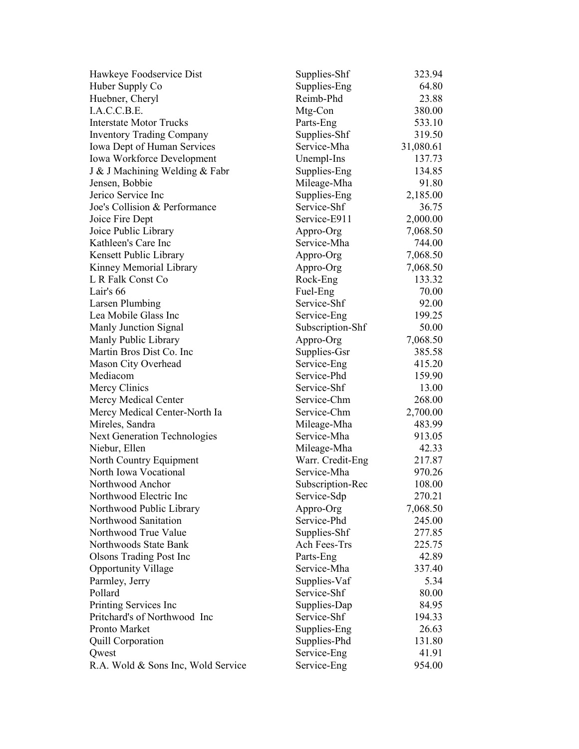| Hawkeye Foodservice Dist           | Supplies-Shf     | 323.94    |
|------------------------------------|------------------|-----------|
| Huber Supply Co                    | Supplies-Eng     | 64.80     |
| Huebner, Cheryl                    | Reimb-Phd        | 23.88     |
| I.A.C.C.B.E.                       | Mtg-Con          | 380.00    |
| <b>Interstate Motor Trucks</b>     | Parts-Eng        | 533.10    |
| <b>Inventory Trading Company</b>   | Supplies-Shf     | 319.50    |
| Iowa Dept of Human Services        | Service-Mha      | 31,080.61 |
| Iowa Workforce Development         | Unempl-Ins       | 137.73    |
| J & J Machining Welding & Fabr     | Supplies-Eng     | 134.85    |
| Jensen, Bobbie                     | Mileage-Mha      | 91.80     |
| Jerico Service Inc                 | Supplies-Eng     | 2,185.00  |
| Joe's Collision & Performance      | Service-Shf      | 36.75     |
| Joice Fire Dept                    | Service-E911     | 2,000.00  |
| Joice Public Library               | Appro-Org        | 7,068.50  |
| Kathleen's Care Inc                | Service-Mha      | 744.00    |
| Kensett Public Library             | Appro-Org        | 7,068.50  |
| Kinney Memorial Library            | Appro-Org        | 7,068.50  |
| L R Falk Const Co                  | Rock-Eng         | 133.32    |
| Lair's 66                          | Fuel-Eng         | 70.00     |
| Larsen Plumbing                    | Service-Shf      | 92.00     |
| Lea Mobile Glass Inc               | Service-Eng      | 199.25    |
| Manly Junction Signal              | Subscription-Shf | 50.00     |
| Manly Public Library               | Appro-Org        | 7,068.50  |
| Martin Bros Dist Co. Inc           | Supplies-Gsr     | 385.58    |
| Mason City Overhead                | Service-Eng      | 415.20    |
| Mediacom                           | Service-Phd      | 159.90    |
| Mercy Clinics                      | Service-Shf      | 13.00     |
| Mercy Medical Center               | Service-Chm      | 268.00    |
| Mercy Medical Center-North Ia      | Service-Chm      | 2,700.00  |
| Mireles, Sandra                    | Mileage-Mha      | 483.99    |
| Next Generation Technologies       | Service-Mha      | 913.05    |
| Niebur, Ellen                      | Mileage-Mha      | 42.33     |
| North Country Equipment            | Warr. Credit-Eng | 217.87    |
| North Iowa Vocational              | Service-Mha      | 970.26    |
| Northwood Anchor                   | Subscription-Rec | 108.00    |
| Northwood Electric Inc             | Service-Sdp      | 270.21    |
| Northwood Public Library           | Appro-Org        | 7,068.50  |
| Northwood Sanitation               | Service-Phd      | 245.00    |
| Northwood True Value               | Supplies-Shf     | 277.85    |
| Northwoods State Bank              | Ach Fees-Trs     | 225.75    |
| <b>Olsons Trading Post Inc</b>     | Parts-Eng        | 42.89     |
| <b>Opportunity Village</b>         | Service-Mha      | 337.40    |
| Parmley, Jerry                     | Supplies-Vaf     | 5.34      |
| Pollard                            | Service-Shf      | 80.00     |
| Printing Services Inc              | Supplies-Dap     | 84.95     |
| Pritchard's of Northwood Inc       | Service-Shf      | 194.33    |
| Pronto Market                      | Supplies-Eng     | 26.63     |
| <b>Quill Corporation</b>           | Supplies-Phd     | 131.80    |
| Qwest                              | Service-Eng      | 41.91     |
| R.A. Wold & Sons Inc, Wold Service | Service-Eng      | 954.00    |